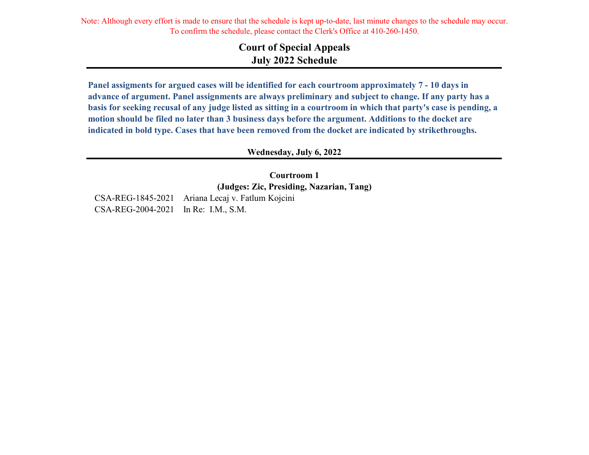Note: Although every effort is made to ensure that the schedule is kept up-to-date, last minute changes to the schedule may occur. To confirm the schedule, please contact the Clerk's Office at 410-260-1450.

## **Court of Special Appeals July 2022 Schedule**

**Panel assigments for argued cases will be identified for each courtroom approximately 7 - 10 days in advance of argument. Panel assignments are always preliminary and subject to change. If any party has a basis for seeking recusal of any judge listed as sitting in a courtroom in which that party's case is pending, a motion should be filed no later than 3 business days before the argument. Additions to the docket are indicated in bold type. Cases that have been removed from the docket are indicated by strikethroughs.**

**Wednesday, July 6, 2022**

**Courtroom 1 (Judges: Zic, Presiding, Nazarian, Tang)**

CSA-REG-1845-2021 Ariana Lecaj v. Fatlum Kojcini CSA-REG-2004-2021 In Re: I.M., S.M.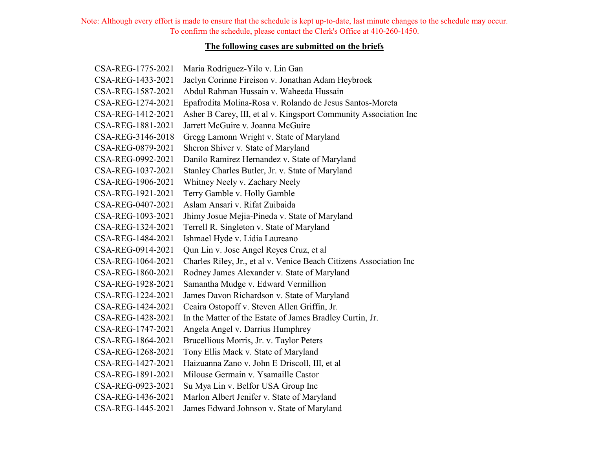Note: Although every effort is made to ensure that the schedule is kept up-to-date, last minute changes to the schedule may occur. To confirm the schedule, please contact the Clerk's Office at 410-260-1450.

## **The following cases are submitted on the briefs**

| CSA-REG-1775-2021 | Maria Rodriguez-Yilo v. Lin Gan                                    |
|-------------------|--------------------------------------------------------------------|
| CSA-REG-1433-2021 | Jaclyn Corinne Fireison v. Jonathan Adam Heybroek                  |
| CSA-REG-1587-2021 | Abdul Rahman Hussain v. Waheeda Hussain                            |
| CSA-REG-1274-2021 | Epafrodita Molina-Rosa v. Rolando de Jesus Santos-Moreta           |
| CSA-REG-1412-2021 | Asher B Carey, III, et al v. Kingsport Community Association Inc   |
| CSA-REG-1881-2021 | Jarrett McGuire v. Joanna McGuire                                  |
| CSA-REG-3146-2018 | Gregg Lamonn Wright v. State of Maryland                           |
| CSA-REG-0879-2021 | Sheron Shiver v. State of Maryland                                 |
| CSA-REG-0992-2021 | Danilo Ramirez Hernandez v. State of Maryland                      |
| CSA-REG-1037-2021 | Stanley Charles Butler, Jr. v. State of Maryland                   |
| CSA-REG-1906-2021 | Whitney Neely v. Zachary Neely                                     |
| CSA-REG-1921-2021 | Terry Gamble v. Holly Gamble                                       |
| CSA-REG-0407-2021 | Aslam Ansari v. Rifat Zuibaida                                     |
| CSA-REG-1093-2021 | Jhimy Josue Mejia-Pineda v. State of Maryland                      |
| CSA-REG-1324-2021 | Terrell R. Singleton v. State of Maryland                          |
| CSA-REG-1484-2021 | Ishmael Hyde v. Lidia Laureano                                     |
| CSA-REG-0914-2021 | Qun Lin v. Jose Angel Reyes Cruz, et al                            |
| CSA-REG-1064-2021 | Charles Riley, Jr., et al v. Venice Beach Citizens Association Inc |
| CSA-REG-1860-2021 | Rodney James Alexander v. State of Maryland                        |
| CSA-REG-1928-2021 | Samantha Mudge v. Edward Vermillion                                |
| CSA-REG-1224-2021 | James Davon Richardson v. State of Maryland                        |
| CSA-REG-1424-2021 | Ceaira Ostopoff v. Steven Allen Griffin, Jr.                       |
| CSA-REG-1428-2021 | In the Matter of the Estate of James Bradley Curtin, Jr.           |
| CSA-REG-1747-2021 | Angela Angel v. Darrius Humphrey                                   |
| CSA-REG-1864-2021 | Brucellious Morris, Jr. v. Taylor Peters                           |
| CSA-REG-1268-2021 | Tony Ellis Mack v. State of Maryland                               |
| CSA-REG-1427-2021 | Haizuanna Zano v. John E Driscoll, III, et al                      |
| CSA-REG-1891-2021 | Milouse Germain v. Ysamaille Castor                                |
| CSA-REG-0923-2021 | Su Mya Lin v. Belfor USA Group Inc                                 |
| CSA-REG-1436-2021 | Marlon Albert Jenifer v. State of Maryland                         |
| CSA-REG-1445-2021 | James Edward Johnson v. State of Maryland                          |